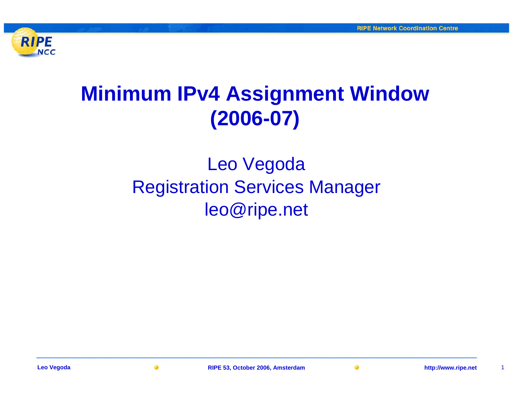

## **Minimum IPv4 Assignment Window (2006-07)**

### Leo Vegoda Registration Services Manager leo@ripe.net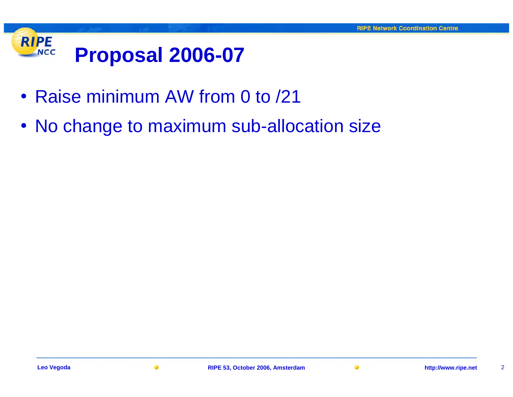

- Raise minimum AW from 0 to /21
- No change to maximum sub-allocation size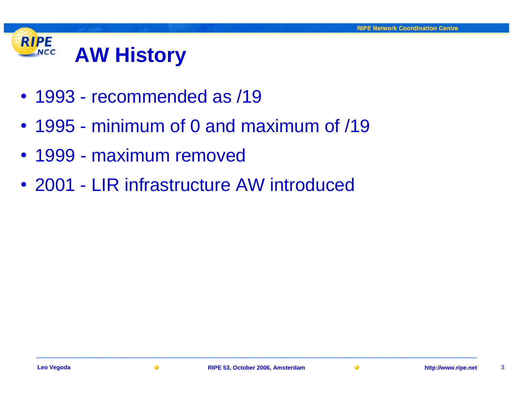#### **RIPE AW History NCC**

- 1993 recommended as /19
- 1995 minimum of 0 and maximum of /19
- 1999 maximum removed
- 2001 LIR infrastructure AW introduced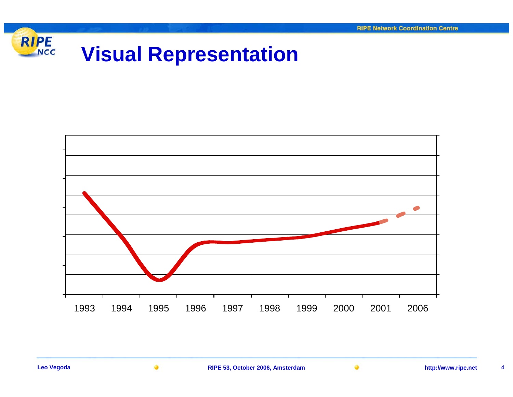

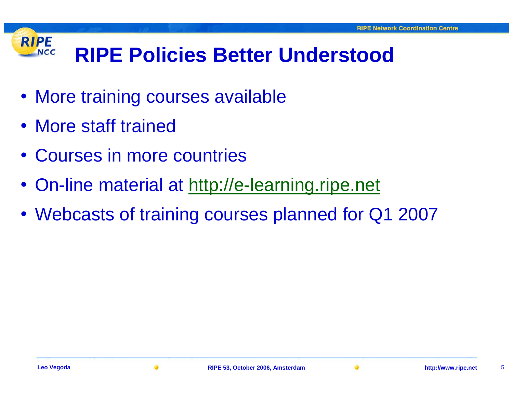#### **RIPE RIPE Policies Better UnderstoodNCC**

- More training courses available
- More staff trained
- Courses in more countries
- On-line material at <http://e-learning.ripe.net>
- Webcasts of training courses planned for Q1 2007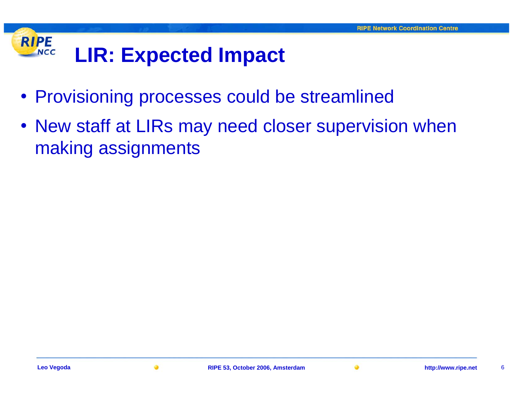#### **RIPE LIR: Expected Impact NCC**

- Provisioning processes could be streamlined
- New staff at LIRs may need closer supervision when making assignments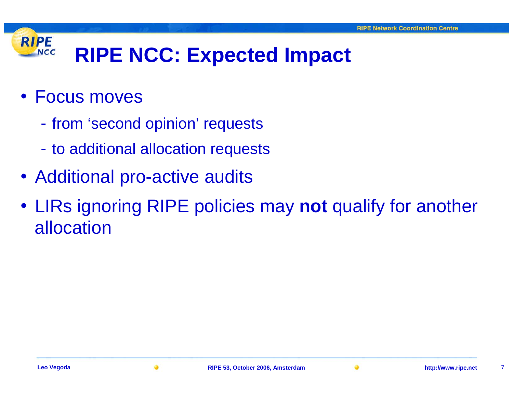#### **RIPE RIPE NCC: Expected Impact NCC**

- Focus moves
	- $\mathcal{L}_{\mathcal{A}}$ - from 'second opinion' requests
	- $\mathcal{L}_{\mathcal{A}}$ - to additional allocation requests
- Additional pro-active audits
- LIRs ignoring RIPE policies may **not** qualify for another allocation